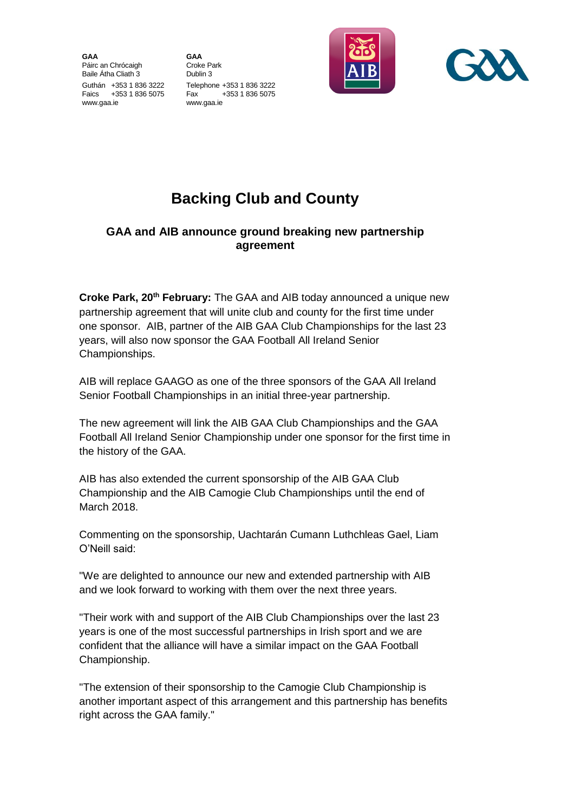**GAA** Páirc an Chrócaigh Baile Átha Cliath 3 Guthán +353 1 836 3222 Faics +353 1 836 5075 www.gaa.ie

**GAA** Croke Park Dublin 3 Telephone +353 1 836 3222 Fax +353 1 836 5075 www.gaa.ie





## **Backing Club and County**

## **GAA and AIB announce ground breaking new partnership agreement**

**Croke Park, 20th February:** The GAA and AIB today announced a unique new partnership agreement that will unite club and county for the first time under one sponsor. AIB, partner of the AIB GAA Club Championships for the last 23 years, will also now sponsor the GAA Football All Ireland Senior Championships.

AIB will replace GAAGO as one of the three sponsors of the GAA All Ireland Senior Football Championships in an initial three-year partnership.

The new agreement will link the AIB GAA Club Championships and the GAA Football All Ireland Senior Championship under one sponsor for the first time in the history of the GAA.

AIB has also extended the current sponsorship of the AIB GAA Club Championship and the AIB Camogie Club Championships until the end of March 2018.

Commenting on the sponsorship, Uachtarán Cumann Luthchleas Gael, Liam O'Neill said:

"We are delighted to announce our new and extended partnership with AIB and we look forward to working with them over the next three years.

"Their work with and support of the AIB Club Championships over the last 23 years is one of the most successful partnerships in Irish sport and we are confident that the alliance will have a similar impact on the GAA Football Championship.

"The extension of their sponsorship to the Camogie Club Championship is another important aspect of this arrangement and this partnership has benefits right across the GAA family."